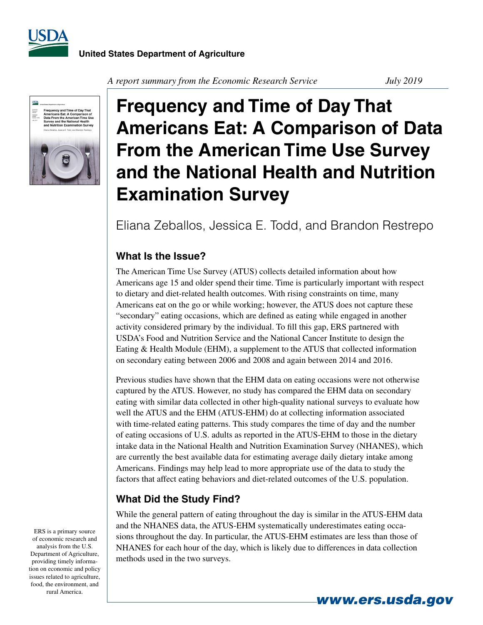



*A report summary from the Economic Research Service July 2019* 

# **Frequency and Time of Day That Americans Eat: A Comparison of Data From the American Time Use Survey and the National Health and Nutrition Examination Survey**

## Eliana Zeballos, Jessica E. Todd, and Brandon Restrepo

### **What Is the Issue?**

The American Time Use Survey (ATUS) collects detailed information about how Americans age 15 and older spend their time. Time is particularly important with respect to dietary and diet-related health outcomes. With rising constraints on time, many Americans eat on the go or while working; however, the ATUS does not capture these "secondary" eating occasions, which are defined as eating while engaged in another activity considered primary by the individual. To fill this gap, ERS partnered with USDA's Food and Nutrition Service and the National Cancer Institute to design the Eating & Health Module (EHM), a supplement to the ATUS that collected information on secondary eating between 2006 and 2008 and again between 2014 and 2016.

Previous studies have shown that the EHM data on eating occasions were not otherwise captured by the ATUS. However, no study has compared the EHM data on secondary eating with similar data collected in other high-quality national surveys to evaluate how well the ATUS and the EHM (ATUS-EHM) do at collecting information associated with time-related eating patterns. This study compares the time of day and the number of eating occasions of U.S. adults as reported in the ATUS-EHM to those in the dietary intake data in the National Health and Nutrition Examination Survey (NHANES), which are currently the best available data for estimating average daily dietary intake among Americans. Findings may help lead to more appropriate use of the data to study the factors that affect eating behaviors and diet-related outcomes of the U.S. population.

### **What Did the Study Find?**

While the general pattern of eating throughout the day is similar in the ATUS-EHM data and the NHANES data, the ATUS-EHM systematically underestimates eating occasions throughout the day. In particular, the ATUS-EHM estimates are less than those of NHANES for each hour of the day, which is likely due to differences in data collection methods used in the two surveys.

ERS is a primary source of economic research and analysis from the U.S. Department of Agriculture, providing timely information on economic and policy issues related to agriculture, food, the environment, and rural America.